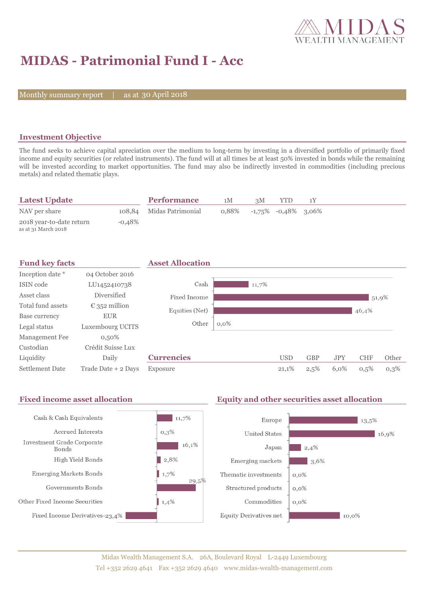

# **MIDAS - Patrimonial Fund I - Acc**

Monthly summary report | as at 30 April 2018

### **Investment Objective**

The fund seeks to achieve capital apreciation over the medium to long-term by investing in a diversified portfolio of primarily fixed income and equity securities (or related instruments). The fund will at all times be at least 50% invested in bonds while the remaining will be invested according to market opportunities. The fund may also be indirectly invested in commodities (including precious metals) and related thematic plays.

| <b>Latest Update</b>                            |           | <b>Performance</b>       | 1M    | зM | YTD                       |  |  |
|-------------------------------------------------|-----------|--------------------------|-------|----|---------------------------|--|--|
| NAV per share                                   |           | 108,84 Midas Patrimonial | 0.88% |    | $-1,75\%$ $-0,48\%$ 3,06% |  |  |
| 2018 year-to-date return<br>as at 31 March 2018 | $-0.48\%$ |                          |       |    |                           |  |  |

| <b>Fund key facts</b>  |                        | <b>Asset Allocation</b> |         |       |            |            |            |            |       |
|------------------------|------------------------|-------------------------|---------|-------|------------|------------|------------|------------|-------|
| Inception date *       | 04 October 2016        |                         |         |       |            |            |            |            |       |
| ISIN code              | LU1452410738           | Cash                    |         | 11,7% |            |            |            |            |       |
| Asset class            | <b>Diversified</b>     | Fixed Income            |         |       |            |            |            |            | 51,9% |
| Total fund assets      | $\epsilon$ 352 million | Equities (Net)          |         |       |            |            |            | 46,4%      |       |
| Base currency          | <b>EUR</b>             |                         |         |       |            |            |            |            |       |
| Legal status           | Luxembourg UCITS       | Other                   | $0,0\%$ |       |            |            |            |            |       |
| Management Fee         | $0,50\%$               |                         |         |       |            |            |            |            |       |
| Custodian              | Crédit Suisse Lux      |                         |         |       |            |            |            |            |       |
| Liquidity              | Daily                  | <b>Currencies</b>       |         |       | <b>USD</b> | <b>GBP</b> | <b>JPY</b> | <b>CHF</b> | Other |
| <b>Settlement Date</b> | Trade Date + 2 Days    | Exposure                |         |       | 21,1%      | 2,5%       | 6,0%       | 0,5%       | 0,3%  |

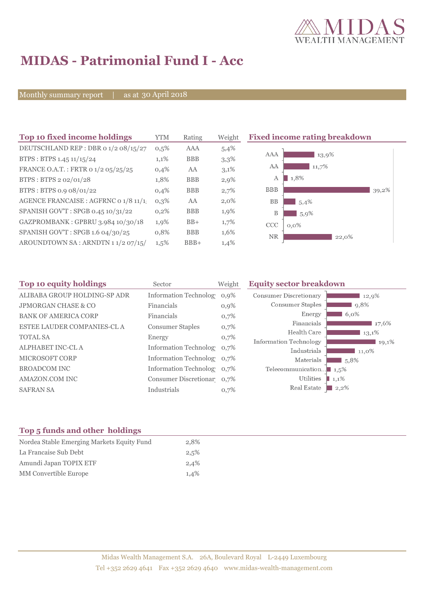

# **MIDAS - Patrimonial Fund I - Acc**

Monthly summary report | as at 30 April 2018

| Top 10 fixed income holdings         | <b>YTM</b> | Rating     | Weight  | <b>Fixed income rating breakd</b> |
|--------------------------------------|------------|------------|---------|-----------------------------------|
| DEUTSCHLAND REP : DBR 0 1/2 08/15/27 | 0,5%       | AAA        | 5,4%    |                                   |
| BTPS: BTPS 1.45 11/15/24             | 1,1%       | <b>BBB</b> | 3,3%    | AAA<br>13,9%                      |
| FRANCE O.A.T.: FRTR 0 1/2 05/25/25   | 0,4%       | AA         | $3,1\%$ | 11,7%<br>AA                       |
| BTPS: BTPS 2 02/01/28                | 1,8%       | <b>BBB</b> | $2,9\%$ | 1,8%<br>А                         |
| BTPS: BTPS 0.9 08/01/22              | 0,4%       | <b>BBB</b> | 2,7%    | <b>BBB</b>                        |
| AGENCE FRANCAISE : AGFRNC 0 1/8 11/1 | $0,3\%$    | AA         | $2,0\%$ | <b>BB</b><br>5,4%                 |
| SPANISH GOV'T: SPGB 0.45 10/31/22    | $0,2\%$    | <b>BBB</b> | 1,9%    | B<br>$5,9\%$                      |
| GAZPROMBANK: GPBRU 3.984 10/30/18    | 1,9%       | $BB+$      | $1,7\%$ | CCC<br>$0.0\%$                    |
| SPANISH GOV'T: SPGB 1.6 04/30/25     | 0,8%       | <b>BBB</b> | 1,6%    | <b>NR</b><br>22,0%                |
| AROUNDTOWN SA: ARNDTN 11/2 07/15/    | $1,5\%$    | $BBB+$     | 1,4%    |                                   |
|                                      |            |            |         |                                   |

### **The Biom of the income rating breakdown**  $\frac{13,9\%}{2}$  $\frac{1}{11,7\%}$  $1,8%$  $39,2\%$  $15,4%$

| Top 10 equity holdings<br>Sector |                            | Weight  | <b>Equity sector breakdown</b>        |  |  |
|----------------------------------|----------------------------|---------|---------------------------------------|--|--|
| ALIBABA GROUP HOLDING-SP ADR     | Information Technolog 0,9% |         | Consumer Discretionary<br>12,9%       |  |  |
| <b>JPMORGAN CHASE &amp; CO</b>   | Financials                 | $0,9\%$ | Consumer Staples<br>9,8%              |  |  |
| <b>BANK OF AMERICA CORP</b>      | Financials                 | 0,7%    | Energy<br>$6,0\%$                     |  |  |
| ESTEE LAUDER COMPANIES-CL A      | <b>Consumer Staples</b>    | 0,7%    | Financials<br>17,6%                   |  |  |
|                                  |                            |         | Health Care<br>13,1%                  |  |  |
| <b>TOTAL SA</b>                  | Energy                     | 0,7%    | Information Technology<br>19,1%       |  |  |
| ALPHABET INC-CL A                | Information Technolog 0.7% |         | Industrials<br>11,0%                  |  |  |
| <b>MICROSOFT CORP</b>            | Information Technolog 0,7% |         | Materials<br>5,8%                     |  |  |
| <b>BROADCOM INC</b>              | Information Technolog 0,7% |         | Telecommunication $\blacksquare$ 1,5% |  |  |
| AMAZON.COM INC                   | Consumer Discretionar 0,7% |         | Utilities<br>1,1%                     |  |  |
| <b>SAFRAN SA</b>                 | Industrials                | 0,7%    | Real Estate<br>$2,2\%$                |  |  |

### **Top 5 funds and other holdings**

| Nordea Stable Emerging Markets Equity Fund | 2.8% |
|--------------------------------------------|------|
| La Francaise Sub Debt                      | 2,5% |
| Amundi Japan TOPIX ETF                     | 2,4% |
| <b>MM</b> Convertible Europe               | 1.4% |